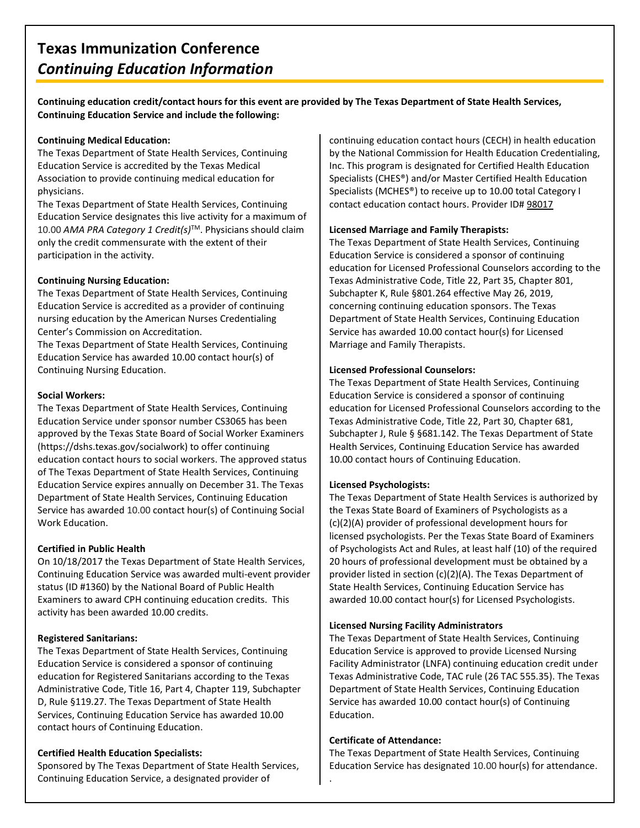**Continuing education credit/contact hours for this event are provided by The Texas Department of State Health Services, Continuing Education Service and include the following:**

#### **Continuing Medical Education:**

The Texas Department of State Health Services, Continuing Education Service is accredited by the Texas Medical Association to provide continuing medical education for physicians.

The Texas Department of State Health Services, Continuing Education Service designates this live activity for a maximum of 10.00 *AMA PRA Category 1 Credit(s)*TM. Physicians should claim only the credit commensurate with the extent of their participation in the activity.

#### **Continuing Nursing Education:**

The Texas Department of State Health Services, Continuing Education Service is accredited as a provider of continuing nursing education by the American Nurses Credentialing Center's Commission on Accreditation.

The Texas Department of State Health Services, Continuing Education Service has awarded 10.00 contact hour(s) of Continuing Nursing Education.

#### **Social Workers:**

The Texas Department of State Health Services, Continuing Education Service under sponsor number CS3065 has been approved by the Texas State Board of Social Worker Examiners (https://dshs.texas.gov/socialwork) to offer continuing education contact hours to social workers. The approved status of The Texas Department of State Health Services, Continuing Education Service expires annually on December 31. The Texas Department of State Health Services, Continuing Education Service has awarded 10.00 contact hour(s) of Continuing Social Work Education.

# **Certified in Public Health**

On 10/18/2017 the Texas Department of State Health Services, Continuing Education Service was awarded multi-event provider status (ID #1360) by the National Board of Public Health Examiners to award CPH continuing education credits. This activity has been awarded 10.00 credits.

#### **Registered Sanitarians:**

The Texas Department of State Health Services, Continuing Education Service is considered a sponsor of continuing education for Registered Sanitarians according to the Texas Administrative Code, Title 16, Part 4, Chapter 119, Subchapter D, Rule §119.27. The Texas Department of State Health Services, Continuing Education Service has awarded 10.00 contact hours of Continuing Education.

# **Certified Health Education Specialists:**

Sponsored by The Texas Department of State Health Services, Continuing Education Service, a designated provider of

continuing education contact hours (CECH) in health education by the National Commission for Health Education Credentialing, Inc. This program is designated for Certified Health Education Specialists (CHES®) and/or Master Certified Health Education Specialists (MCHES®) to receive up to 10.00 total Category I contact education contact hours. Provider ID# 98017

#### **Licensed Marriage and Family Therapists:**

The Texas Department of State Health Services, Continuing Education Service is considered a sponsor of continuing education for Licensed Professional Counselors according to the Texas Administrative Code, Title 22, Part 35, Chapter 801, Subchapter K, Rule §801.264 effective May 26, 2019, concerning continuing education sponsors. The Texas Department of State Health Services, Continuing Education Service has awarded 10.00 contact hour(s) for Licensed Marriage and Family Therapists.

#### **Licensed Professional Counselors:**

The Texas Department of State Health Services, Continuing Education Service is considered a sponsor of continuing education for Licensed Professional Counselors according to the Texas Administrative Code, Title 22, Part 30, Chapter 681, Subchapter J, Rule § §681.142. The Texas Department of State Health Services, Continuing Education Service has awarded 10.00 contact hours of Continuing Education.

# **Licensed Psychologists:**

The Texas Department of State Health Services is authorized by the Texas State Board of Examiners of Psychologists as a (c)(2)(A) provider of professional development hours for licensed psychologists. Per the Texas State Board of Examiners of Psychologists Act and Rules, at least half (10) of the required 20 hours of professional development must be obtained by a provider listed in section (c)(2)(A). The Texas Department of State Health Services, Continuing Education Service has awarded 10.00 contact hour(s) for Licensed Psychologists.

#### **Licensed Nursing Facility Administrators**

The Texas Department of State Health Services, Continuing Education Service is approved to provide Licensed Nursing Facility Administrator (LNFA) continuing education credit under Texas Administrative Code, TAC rule (26 TAC 555.35). The Texas Department of State Health Services, Continuing Education Service has awarded 10.00 contact hour(s) of Continuing Education.

# **Certificate of Attendance:**

.

The Texas Department of State Health Services, Continuing Education Service has designated 10.00 hour(s) for attendance.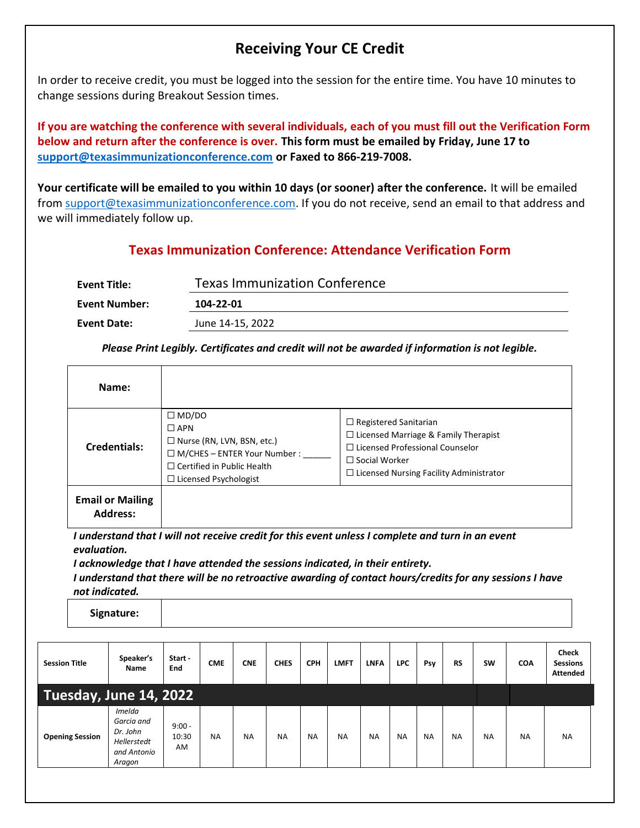# **Receiving Your CE Credit**

In order to receive credit, you must be logged into the session for the entire time. You have 10 minutes to change sessions during Breakout Session times.

**If you are watching the conference with several individuals, each of you must fill out the Verification Form below and return after the conference is over. This form must be emailed by Friday, June 17 to [support@texasimmunizationconference.com](mailto:support@texasimmunizationconference.com) or Faxed to 866-219-7008.**

**Your certificate will be emailed to you within 10 days (or sooner) after the conference.** It will be emailed from [support@texasimmunizationconference.com.](mailto:support@texasimmunizationconference.com) If you do not receive, send an email to that address and we will immediately follow up.

# **Texas Immunization Conference: Attendance Verification Form**

| <b>Event Title:</b>  | <b>Texas Immunization Conference</b> |  |  |  |  |  |  |  |  |
|----------------------|--------------------------------------|--|--|--|--|--|--|--|--|
| <b>Event Number:</b> | 104-22-01                            |  |  |  |  |  |  |  |  |
| Event Date:          | June 14-15, 2022                     |  |  |  |  |  |  |  |  |

*Please Print Legibly. Certificates and credit will not be awarded if information is not legible.*

| Name:                                      |                                                                                                                                                                                |                                                                                                                                                                                                 |
|--------------------------------------------|--------------------------------------------------------------------------------------------------------------------------------------------------------------------------------|-------------------------------------------------------------------------------------------------------------------------------------------------------------------------------------------------|
| Credentials:                               | $\square$ MD/DO<br>$\Box$ APN<br>$\Box$ Nurse (RN, LVN, BSN, etc.)<br>$\Box$ M/CHES – ENTER Your Number :<br>$\Box$ Certified in Public Health<br>$\Box$ Licensed Psychologist | $\Box$ Registered Sanitarian<br>$\Box$ Licensed Marriage & Family Therapist<br>$\Box$ Licensed Professional Counselor<br>$\Box$ Social Worker<br>$\Box$ Licensed Nursing Facility Administrator |
| <b>Email or Mailing</b><br><b>Address:</b> |                                                                                                                                                                                |                                                                                                                                                                                                 |

*I understand that I will not receive credit for this event unless I complete and turn in an event evaluation.*

*I acknowledge that I have attended the sessions indicated, in their entirety.* 

*I understand that there will be no retroactive awarding of contact hours/credits for any sessions I have not indicated.* 

**Signature:**

| <b>Session Title</b>   | Speaker's<br><b>Name</b>                                                 | Start -<br>End          | <b>CME</b> | <b>CNE</b> | <b>CHES</b> | <b>CPH</b> | <b>LMFT</b> | <b>LNFA</b> | <b>LPC</b> | Psy       | <b>RS</b> | <b>SW</b> | <b>COA</b> | <b>Check</b><br><b>Sessions</b><br>Attended |
|------------------------|--------------------------------------------------------------------------|-------------------------|------------|------------|-------------|------------|-------------|-------------|------------|-----------|-----------|-----------|------------|---------------------------------------------|
| Tuesday, June 14, 2022 |                                                                          |                         |            |            |             |            |             |             |            |           |           |           |            |                                             |
| <b>Opening Session</b> | Imelda<br>Garcia and<br>Dr. John<br>Hellerstedt<br>and Antonio<br>Aragon | $9:00 -$<br>10:30<br>AM | <b>NA</b>  | <b>NA</b>  | <b>NA</b>   | <b>NA</b>  | <b>NA</b>   | <b>NA</b>   | <b>NA</b>  | <b>NA</b> | <b>NA</b> | <b>NA</b> | <b>NA</b>  | <b>NA</b>                                   |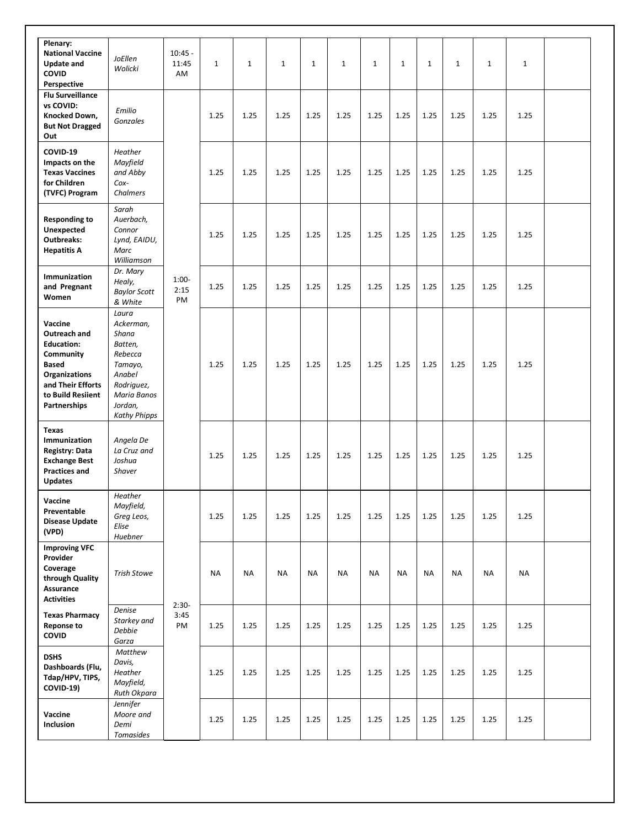| Plenary:<br><b>National Vaccine</b><br><b>Update and</b><br>COVID<br>Perspective                                                                            | JoEllen<br>Wolicki                                                                                                                    | $10:45 -$<br>11:45<br>AM | $\mathbf{1}$ | $\mathbf{1}$ | $\mathbf{1}$ | $\mathbf{1}$ | $\mathbf 1$ | $\mathbf{1}$ | $\mathbf{1}$ | $\mathbf{1}$ | $\mathbf{1}$ | $\mathbf{1}$ | $\mathbf{1}$ |      |  |
|-------------------------------------------------------------------------------------------------------------------------------------------------------------|---------------------------------------------------------------------------------------------------------------------------------------|--------------------------|--------------|--------------|--------------|--------------|-------------|--------------|--------------|--------------|--------------|--------------|--------------|------|--|
| <b>Flu Surveillance</b><br>vs COVID:<br>Knocked Down,<br><b>But Not Dragged</b><br>Out                                                                      | Emilio<br>Gonzales                                                                                                                    |                          | 1.25         | 1.25         | 1.25         | 1.25         | 1.25        | 1.25         | 1.25         | 1.25         | 1.25         | 1.25         | 1.25         |      |  |
| COVID-19<br>Impacts on the<br><b>Texas Vaccines</b><br>for Children<br>(TVFC) Program                                                                       | Heather<br>Mayfield<br>and Abby<br>Cox-<br>Chalmers                                                                                   |                          |              | 1.25         | 1.25         | 1.25         | 1.25        | 1.25         | 1.25         | 1.25         | 1.25         | 1.25         | 1.25         | 1.25 |  |
| <b>Responding to</b><br>Unexpected<br><b>Outbreaks:</b><br><b>Hepatitis A</b>                                                                               | Sarah<br>Auerbach,<br>Connor<br>Lynd, EAIDU,<br>Marc<br>Williamson                                                                    |                          | 1.25         | 1.25         | 1.25         | 1.25         | 1.25        | 1.25         | 1.25         | 1.25         | 1.25         | 1.25         | 1.25         |      |  |
| Immunization<br>and Pregnant<br>Women                                                                                                                       | Dr. Mary<br>Healy,<br><b>Baylor Scott</b><br>& White                                                                                  | $1:00-$<br>2:15<br>PM    | 1.25         | 1.25         | 1.25         | 1.25         | 1.25        | 1.25         | 1.25         | 1.25         | 1.25         | 1.25         | 1.25         |      |  |
| Vaccine<br>Outreach and<br><b>Education:</b><br>Community<br><b>Based</b><br><b>Organizations</b><br>and Their Efforts<br>to Build Resiient<br>Partnerships | Laura<br>Ackerman,<br>Shana<br>Batten,<br>Rebecca<br>Tamayo,<br>Anabel<br>Rodriguez,<br>Maria Banos<br>Jordan,<br><b>Kathy Phipps</b> |                          | 1.25         | 1.25         | 1.25         | 1.25         | 1.25        | 1.25         | 1.25         | 1.25         | 1.25         | 1.25         | 1.25         |      |  |
| <b>Texas</b><br>Immunization<br><b>Registry: Data</b><br><b>Exchange Best</b><br><b>Practices and</b><br><b>Updates</b>                                     | Angela De<br>La Cruz and<br>Joshua<br><b>Shaver</b>                                                                                   |                          | 1.25         | 1.25         | 1.25         | 1.25         | 1.25        | 1.25         | 1.25         | 1.25         | 1.25         | 1.25         | 1.25         |      |  |
| Vaccine<br>Preventable<br><b>Disease Update</b><br>(VPD)                                                                                                    | Heather<br>Mayfield,<br>Greg Leos,<br>Elise<br>Huebner                                                                                |                          | 1.25         | 1.25         | 1.25         | 1.25         | 1.25        | 1.25         | 1.25         | 1.25         | 1.25         | 1.25         | 1.25         |      |  |
| <b>Improving VFC</b><br>Provider<br>Coverage<br>through Quality<br>Assurance<br><b>Activities</b>                                                           | <b>Trish Stowe</b>                                                                                                                    | $2:30-$<br>3:45<br>PM    | <b>NA</b>    | NA           | <b>NA</b>    | <b>NA</b>    | <b>NA</b>   | <b>NA</b>    | <b>NA</b>    | <b>NA</b>    | <b>NA</b>    | NA           | <b>NA</b>    |      |  |
| <b>Texas Pharmacy</b><br><b>Reponse to</b><br><b>COVID</b>                                                                                                  | Denise<br>Starkey and<br>Debbie<br>Garza                                                                                              |                          | 1.25         | 1.25         | 1.25         | 1.25         | 1.25        | 1.25         | 1.25         | 1.25         | 1.25         | 1.25         | 1.25         |      |  |
| <b>DSHS</b><br>Dashboards (Flu,<br>Tdap/HPV, TIPS,<br>COVID-19)                                                                                             | Matthew<br>Davis,<br>Heather<br>Mayfield,<br>Ruth Okpara                                                                              |                          | 1.25         | 1.25         | 1.25         | 1.25         | 1.25        | 1.25         | 1.25         | 1.25         | 1.25         | 1.25         | 1.25         |      |  |
| Vaccine<br>Inclusion                                                                                                                                        | Jennifer<br>Moore and<br>Demi<br>Tomasides                                                                                            |                          | 1.25         | 1.25         | 1.25         | 1.25         | 1.25        | 1.25         | 1.25         | 1.25         | 1.25         | 1.25         | 1.25         |      |  |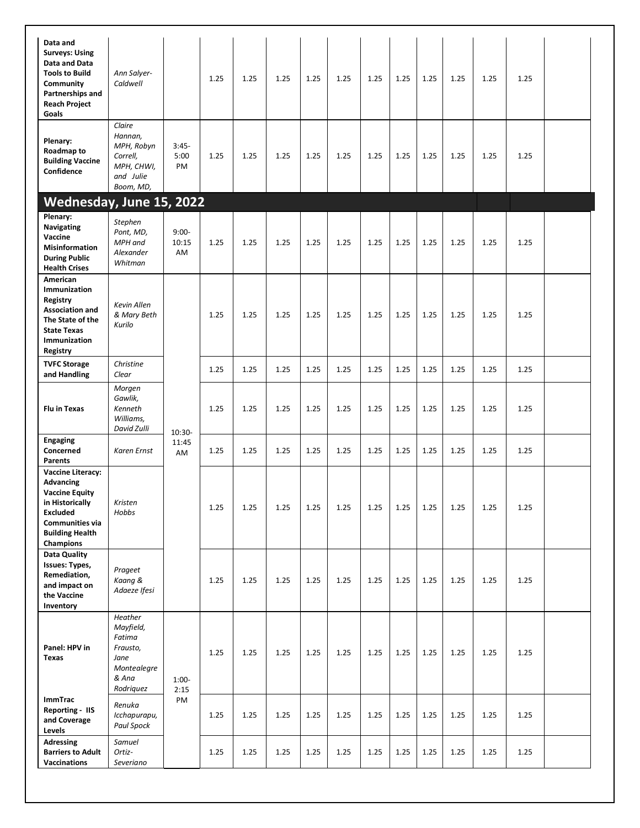| Data and<br><b>Surveys: Using</b><br>Data and Data<br><b>Tools to Build</b><br>Community<br>Partnerships and<br><b>Reach Project</b><br>Goals                                       | Ann Salyer-<br>Caldwell                                                                 |                         | 1.25 | 1.25 | 1.25 | 1.25 | 1.25 | 1.25     | 1.25 | 1.25 | 1.25 | 1.25 | 1.25 |  |
|-------------------------------------------------------------------------------------------------------------------------------------------------------------------------------------|-----------------------------------------------------------------------------------------|-------------------------|------|------|------|------|------|----------|------|------|------|------|------|--|
| Plenary:<br>Roadmap to<br><b>Building Vaccine</b><br>Confidence                                                                                                                     | Claire<br>Hannan,<br>MPH, Robyn<br>Correll,<br>MPH, CHWI,<br>and Julie<br>Boom, MD,     | $3:45-$<br>5:00<br>PM   | 1.25 | 1.25 | 1.25 | 1.25 | 1.25 | 1.25     | 1.25 | 1.25 | 1.25 | 1.25 | 1.25 |  |
| Wednesday, June 15, 2022                                                                                                                                                            |                                                                                         |                         |      |      |      |      |      |          |      |      |      |      |      |  |
| Plenary:<br>Navigating<br>Vaccine<br><b>Misinformation</b><br><b>During Public</b><br><b>Health Crises</b>                                                                          | Stephen<br>Pont, MD,<br>MPH and<br>Alexander<br>Whitman                                 | $9:00-$<br>10:15<br>AM  | 1.25 | 1.25 | 1.25 | 1.25 | 1.25 | 1.25     | 1.25 | 1.25 | 1.25 | 1.25 | 1.25 |  |
| American<br>Immunization<br>Registry<br><b>Association and</b><br>The State of the<br><b>State Texas</b><br>Immunization<br>Registry                                                | Kevin Allen<br>& Mary Beth<br>Kurilo                                                    |                         | 1.25 | 1.25 | 1.25 | 1.25 | 1.25 | 1.25     | 1.25 | 1.25 | 1.25 | 1.25 | 1.25 |  |
| <b>TVFC Storage</b><br>and Handling                                                                                                                                                 | Christine<br>Clear                                                                      |                         | 1.25 | 1.25 | 1.25 | 1.25 | 1.25 | 1.25     | 1.25 | 1.25 | 1.25 | 1.25 | 1.25 |  |
| <b>Flu in Texas</b>                                                                                                                                                                 | Morgen<br>Gawlik,<br>Kenneth<br>Williams,<br>David Zulli                                | $10:30-$<br>11:45<br>AM | 1.25 | 1.25 | 1.25 | 1.25 | 1.25 | 1.25     | 1.25 | 1.25 | 1.25 | 1.25 | 1.25 |  |
| <b>Engaging</b><br>Concerned<br><b>Parents</b>                                                                                                                                      | <b>Karen Ernst</b>                                                                      |                         | 1.25 | 1.25 | 1.25 | 1.25 | 1.25 | 1.25     | 1.25 | 1.25 | 1.25 | 1.25 | 1.25 |  |
| <b>Vaccine Literacy:</b><br><b>Advancing</b><br><b>Vaccine Equity</b><br>in Historically<br><b>Excluded</b><br><b>Communities via</b><br><b>Building Health</b><br><b>Champions</b> | Kristen<br>Hobbs                                                                        |                         | 1.25 | 1.25 | 1.25 | 1.25 | 1.25 | 1.25     | 1.25 | 1.25 | 1.25 | 1.25 | 1.25 |  |
| Data Quality<br>Issues: Types,<br>Remediation,<br>and impact on<br>the Vaccine<br>Inventory                                                                                         | Prageet<br>Kaang &<br>Adaeze Ifesi                                                      |                         | 1.25 | 1.25 | 1.25 | 1.25 | 1.25 | 1.25     | 1.25 | 1.25 | 1.25 | 1.25 | 1.25 |  |
| Panel: HPV in<br><b>Texas</b>                                                                                                                                                       | Heather<br>Mayfield,<br>Fatima<br>Frausto,<br>Jane<br>Montealegre<br>& Ana<br>Rodriquez | $1:00-$<br>2:15<br>PM   | 1.25 | 1.25 | 1.25 | 1.25 | 1.25 | 1.25     | 1.25 | 1.25 | 1.25 | 1.25 | 1.25 |  |
| <b>ImmTrac</b><br><b>Reporting - IIS</b><br>and Coverage<br>Levels                                                                                                                  | Renuka<br>Icchapurapu,<br>Paul Spock                                                    |                         | 1.25 | 1.25 | 1.25 | 1.25 | 1.25 | $1.25\,$ | 1.25 | 1.25 | 1.25 | 1.25 | 1.25 |  |
| <b>Adressing</b><br><b>Barriers to Adult</b><br>Vaccinations                                                                                                                        | Samuel<br>Ortiz-<br>Severiano                                                           |                         | 1.25 | 1.25 | 1.25 | 1.25 | 1.25 | 1.25     | 1.25 | 1.25 | 1.25 | 1.25 | 1.25 |  |